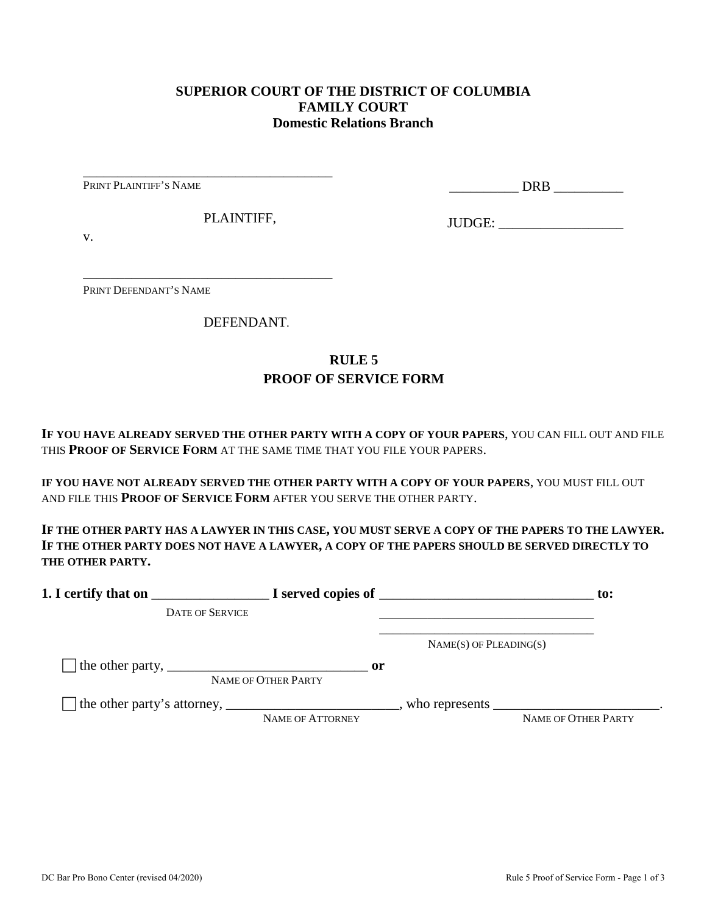## **SUPERIOR COURT OF THE DISTRICT OF COLUMBIA FAMILY COURT Domestic Relations Branch**

PRINT PLAINTIFF'S NAME

\_\_\_\_\_\_\_\_\_\_ DRB \_\_\_\_\_\_\_\_\_\_

PLAINTIFF,

\_\_\_\_\_\_\_\_\_\_\_\_\_\_\_\_\_\_\_\_\_\_\_\_\_\_\_\_\_\_\_\_\_\_\_\_

\_\_\_\_\_\_\_\_\_\_\_\_\_\_\_\_\_\_\_\_\_\_\_\_\_\_\_\_\_\_\_\_\_\_\_\_

JUDGE: \_\_\_\_\_\_\_\_\_\_\_\_\_\_\_\_\_\_

v.

PRINT DEFENDANT'S NAME

DEFENDANT.

## **RULE 5 PROOF OF SERVICE FORM**

**IF YOU HAVE ALREADY SERVED THE OTHER PARTY WITH A COPY OF YOUR PAPERS**, YOU CAN FILL OUT AND FILE THIS **PROOF OF SERVICE FORM** AT THE SAME TIME THAT YOU FILE YOUR PAPERS.

**IF YOU HAVE NOT ALREADY SERVED THE OTHER PARTY WITH A COPY OF YOUR PAPERS**, YOU MUST FILL OUT AND FILE THIS **PROOF OF SERVICE FORM** AFTER YOU SERVE THE OTHER PARTY.

**IF THE OTHER PARTY HAS A LAWYER IN THIS CASE, YOU MUST SERVE A COPY OF THE PAPERS TO THE LAWYER. IF THE OTHER PARTY DOES NOT HAVE A LAWYER, A COPY OF THE PAPERS SHOULD BE SERVED DIRECTLY TO THE OTHER PARTY.** 

| 1. I certify that on                                                                                      |                                      | $\blacksquare$ $\blacksquare$ I served copies of $\blacksquare$ | $\mathbf{to}$ :     |
|-----------------------------------------------------------------------------------------------------------|--------------------------------------|-----------------------------------------------------------------|---------------------|
| <b>DATE OF SERVICE</b>                                                                                    |                                      |                                                                 |                     |
|                                                                                                           |                                      | $NAME(S)$ OF PLEADING(S)                                        |                     |
| The other party, $\frac{1}{\sqrt{1-\frac{1}{2}}}\left\{1-\frac{1}{2}\right\}$                             | $\mathbf{or}$<br>NAME OF OTHER PARTY |                                                                 |                     |
| The other party's attorney, _______________________________, who represents ____________________________. | NAME OF ATTORNEY                     |                                                                 | NAME OF OTHER PARTY |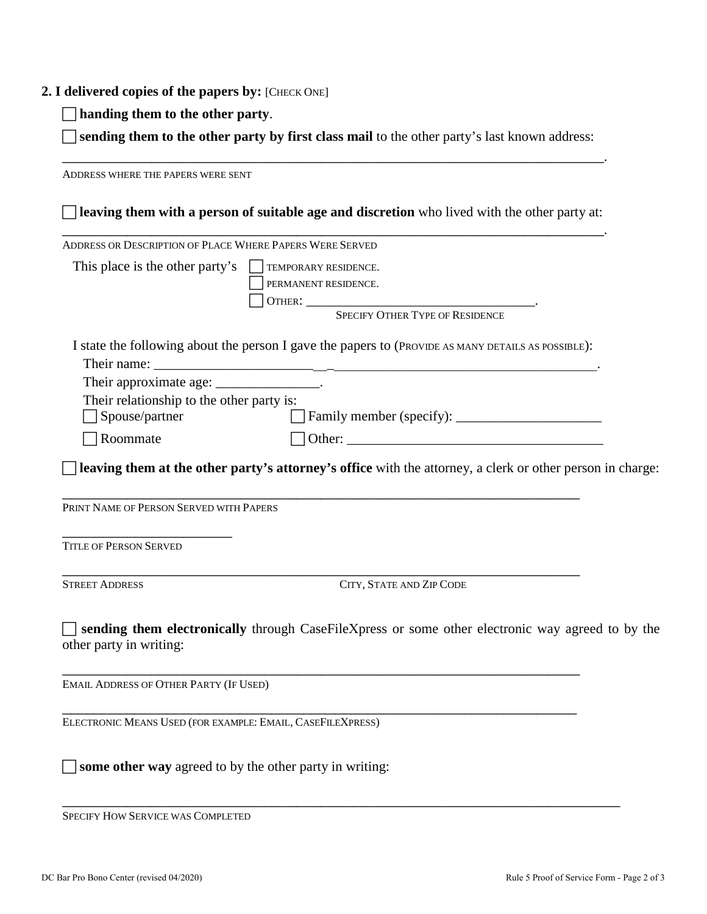## **2. I delivered copies of the papers by:** [CHECK ONE]

**handing them to the other party**.

 **sending them to the other party by first class mail** to the other party's last known address: \_\_\_\_\_\_\_\_\_\_\_\_\_\_\_\_\_\_\_\_\_\_\_\_\_\_\_\_\_\_\_\_\_\_\_\_\_\_\_\_\_\_\_\_\_\_\_\_\_\_\_\_\_\_\_\_\_\_\_\_\_\_\_\_\_\_\_.

ADDRESS WHERE THE PAPERS WERE SENT **leaving them with a person of suitable age and discretion** who lived with the other party at: \_\_\_\_\_\_\_\_\_\_\_\_\_\_\_\_\_\_\_\_\_\_\_\_\_\_\_\_\_\_\_\_\_\_\_\_\_\_\_\_\_\_\_\_\_\_\_\_\_\_\_\_\_\_\_\_\_\_\_\_\_\_\_\_\_\_\_. ADDRESS OR DESCRIPTION OF PLACE WHERE PAPERS WERE SERVED This place is the other party's  $\Box$  TEMPORARY RESIDENCE. PERMANENT RESIDENCE. OTHER: \_\_\_\_\_\_\_\_\_\_\_\_\_\_\_\_\_\_\_\_\_\_\_\_\_\_\_\_\_\_\_\_\_. SPECIFY OTHER TYPE OF RESIDENCE I state the following about the person I gave the papers to (PROVIDE AS MANY DETAILS AS POSSIBLE): Their name: Their approximate age: \_\_\_\_\_\_\_\_\_\_\_\_\_\_\_\_. Their relationship to the other party is: Spouse/partner Family member (specify): \_\_\_\_\_\_\_\_\_\_\_\_\_\_\_\_\_\_\_\_\_  $\Box$  Roommate  $\Box$  Other: **leaving them at the other party's attorney's office** with the attorney, a clerk or other person in charge: \_\_\_\_\_\_\_\_\_\_\_\_\_\_\_\_\_\_\_\_\_\_\_\_\_\_\_\_\_\_\_\_\_\_\_\_\_\_\_\_\_\_\_\_\_\_\_\_\_\_\_\_\_\_\_\_\_\_\_\_\_\_\_\_ PRINT NAME OF PERSON SERVED WITH PAPERS \_\_\_\_\_\_\_\_\_\_\_\_\_\_\_\_\_\_\_\_\_ TITLE OF PERSON SERVED \_\_\_\_\_\_\_\_\_\_\_\_\_\_\_\_\_\_\_\_\_\_\_\_\_\_\_\_\_\_\_\_\_\_\_\_\_\_\_\_\_\_\_\_\_\_\_\_\_\_\_\_\_\_\_\_\_\_\_\_\_\_\_\_ STREET ADDRESS CITY, STATE AND ZIP CODE **sending them electronically** through CaseFileXpress or some other electronic way agreed to by the other party in writing: \_\_\_\_\_\_\_\_\_\_\_\_\_\_\_\_\_\_\_\_\_\_\_\_\_\_\_\_\_\_\_\_\_\_\_\_\_\_\_\_\_\_\_\_\_\_\_\_\_\_\_\_\_\_\_\_\_\_\_\_\_\_\_\_ EMAIL ADDRESS OF OTHER PARTY (IF USED) \_\_\_\_\_\_\_\_\_\_\_\_\_\_\_\_\_\_\_\_\_\_\_\_\_\_\_\_\_\_\_\_\_\_\_\_\_\_\_\_\_\_\_\_\_\_\_\_\_\_\_\_\_\_\_\_\_\_\_\_\_\_\_\_ ELECTRONIC MEANS USED (FOR EXAMPLE: EMAIL, CASEFILEXPRESS)

\_\_\_\_\_\_\_\_\_\_\_\_\_\_\_\_\_\_\_\_\_\_\_\_\_\_\_\_\_\_\_\_\_\_\_\_\_\_\_\_\_\_\_\_\_\_\_\_\_\_\_\_\_\_\_\_\_\_\_\_\_\_\_\_\_\_\_\_\_

 $\Box$  **some other way** agreed to by the other party in writing:

SPECIFY HOW SERVICE WAS COMPLETED